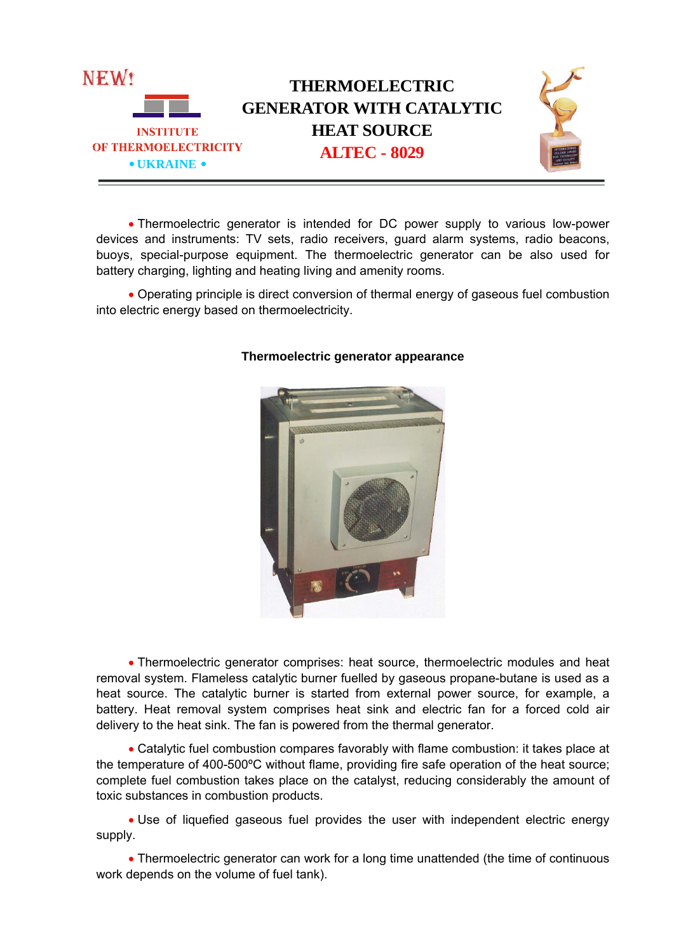

 Thermoelectric generator is intended for DC power supply to various low-power devices and instruments: TV sets, radio receivers, guard alarm systems, radio beacons, buoys, special-purpose equipment. The thermoelectric generator can be also used for battery charging, lighting and heating living and amenity rooms.

 Operating principle is direct conversion of thermal energy of gaseous fuel combustion into electric energy based on thermoelectricity.



## **Thermoelectric generator appearance**

 Thermoelectric generator comprises: heat source, thermoelectric modules and heat removal system. Flameless catalytic burner fuelled by gaseous propane-butane is used as a heat source. The catalytic burner is started from external power source, for example, a battery. Heat removal system comprises heat sink and electric fan for a forced cold air delivery to the heat sink. The fan is powered from the thermal generator.

 Catalytic fuel combustion compares favorably with flame combustion: it takes place at the temperature of 400-500ºC without flame, providing fire safe operation of the heat source; complete fuel combustion takes place on the catalyst, reducing considerably the amount of toxic substances in combustion products.

 Use of liquefied gaseous fuel provides the user with independent electric energy supply.

• Thermoelectric generator can work for a long time unattended (the time of continuous work depends on the volume of fuel tank).